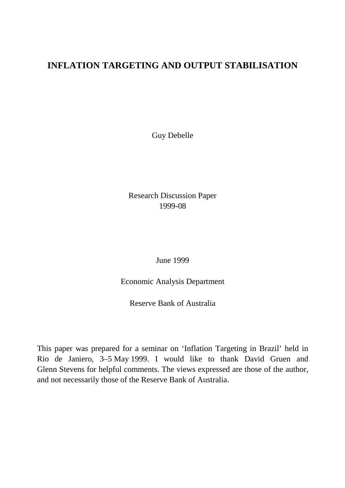## **INFLATION TARGETING AND OUTPUT STABILISATION**

Guy Debelle

Research Discussion Paper 1999-08

June 1999

Economic Analysis Department

Reserve Bank of Australia

This paper was prepared for a seminar on 'Inflation Targeting in Brazil' held in Rio de Janiero, 3–5 May 1999. I would like to thank David Gruen and Glenn Stevens for helpful comments. The views expressed are those of the author, and not necessarily those of the Reserve Bank of Australia.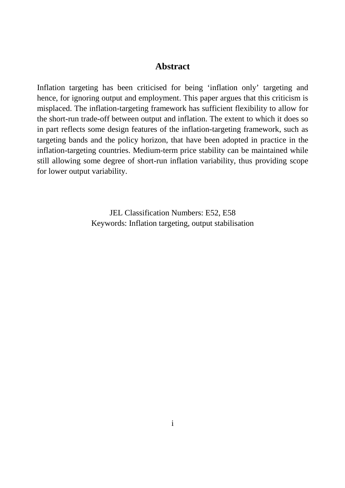#### **Abstract**

Inflation targeting has been criticised for being 'inflation only' targeting and hence, for ignoring output and employment. This paper argues that this criticism is misplaced. The inflation-targeting framework has sufficient flexibility to allow for the short-run trade-off between output and inflation. The extent to which it does so in part reflects some design features of the inflation-targeting framework, such as targeting bands and the policy horizon, that have been adopted in practice in the inflation-targeting countries. Medium-term price stability can be maintained while still allowing some degree of short-run inflation variability, thus providing scope for lower output variability.

> JEL Classification Numbers: E52, E58 Keywords: Inflation targeting, output stabilisation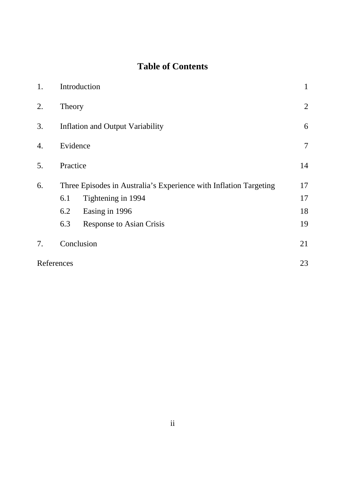# **Table of Contents**

| 1. | Introduction                                                      |                                 |    |  |  |
|----|-------------------------------------------------------------------|---------------------------------|----|--|--|
| 2. | Theory                                                            |                                 |    |  |  |
| 3. | <b>Inflation and Output Variability</b>                           |                                 |    |  |  |
| 4. | Evidence                                                          |                                 |    |  |  |
| 5. | Practice                                                          |                                 |    |  |  |
| 6. | Three Episodes in Australia's Experience with Inflation Targeting |                                 |    |  |  |
|    | 6.1                                                               | Tightening in 1994              | 17 |  |  |
|    | 6.2                                                               | Easing in 1996                  | 18 |  |  |
|    | 6.3                                                               | <b>Response to Asian Crisis</b> | 19 |  |  |
| 7. |                                                                   | Conclusion                      | 21 |  |  |
|    | References                                                        |                                 |    |  |  |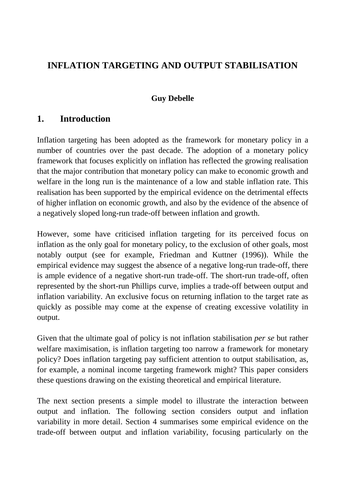## **INFLATION TARGETING AND OUTPUT STABILISATION**

#### **Guy Debelle**

## **1. Introduction**

Inflation targeting has been adopted as the framework for monetary policy in a number of countries over the past decade. The adoption of a monetary policy framework that focuses explicitly on inflation has reflected the growing realisation that the major contribution that monetary policy can make to economic growth and welfare in the long run is the maintenance of a low and stable inflation rate. This realisation has been supported by the empirical evidence on the detrimental effects of higher inflation on economic growth, and also by the evidence of the absence of a negatively sloped long-run trade-off between inflation and growth.

However, some have criticised inflation targeting for its perceived focus on inflation as the only goal for monetary policy, to the exclusion of other goals, most notably output (see for example, Friedman and Kuttner (1996)). While the empirical evidence may suggest the absence of a negative long-run trade-off, there is ample evidence of a negative short-run trade-off. The short-run trade-off, often represented by the short-run Phillips curve, implies a trade-off between output and inflation variability. An exclusive focus on returning inflation to the target rate as quickly as possible may come at the expense of creating excessive volatility in output.

Given that the ultimate goal of policy is not inflation stabilisation *per se* but rather welfare maximisation, is inflation targeting too narrow a framework for monetary policy? Does inflation targeting pay sufficient attention to output stabilisation, as, for example, a nominal income targeting framework might? This paper considers these questions drawing on the existing theoretical and empirical literature.

The next section presents a simple model to illustrate the interaction between output and inflation. The following section considers output and inflation variability in more detail. Section 4 summarises some empirical evidence on the trade-off between output and inflation variability, focusing particularly on the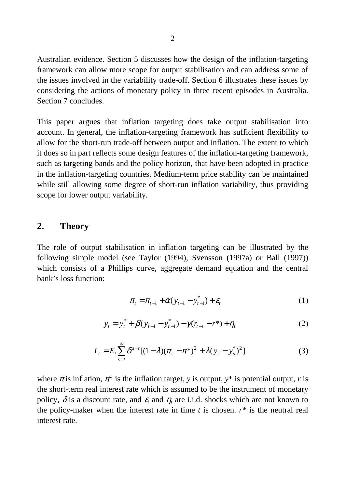Australian evidence. Section 5 discusses how the design of the inflation-targeting framework can allow more scope for output stabilisation and can address some of the issues involved in the variability trade-off. Section 6 illustrates these issues by considering the actions of monetary policy in three recent episodes in Australia. Section 7 concludes.

This paper argues that inflation targeting does take output stabilisation into account. In general, the inflation-targeting framework has sufficient flexibility to allow for the short-run trade-off between output and inflation. The extent to which it does so in part reflects some design features of the inflation-targeting framework, such as targeting bands and the policy horizon, that have been adopted in practice in the inflation-targeting countries. Medium-term price stability can be maintained while still allowing some degree of short-run inflation variability, thus providing scope for lower output variability.

#### **2. Theory**

The role of output stabilisation in inflation targeting can be illustrated by the following simple model (see Taylor (1994), Svensson (1997a) or Ball (1997)) which consists of a Phillips curve, aggregate demand equation and the central bank's loss function:

$$
\pi_t = \pi_{t-1} + \alpha (y_{t-1} - y_{t-1}^*) + \varepsilon_t
$$
 (1)

$$
y_t = y_t^* + \beta(y_{t-1} - y_{t-1}^*) - \gamma(r_{t-1} - r^*) + \eta_t
$$
 (2)

$$
L_{t} = E_{t} \sum_{s=t}^{\infty} \delta^{s-t} [(1-\lambda)(\pi_{s} - \pi^{*})^{2} + \lambda (y_{s} - y_{s}^{*})^{2}]
$$
 (3)

where  $\pi$  is inflation,  $\pi^*$  is the inflation target, *y* is output,  $y^*$  is potential output, *r* is the short-term real interest rate which is assumed to be the instrument of monetary policy,  $\delta$  is a discount rate, and  $\varepsilon_t$  and  $\eta_t$  are i.i.d. shocks which are not known to the policy-maker when the interest rate in time  $t$  is chosen.  $r^*$  is the neutral real interest rate.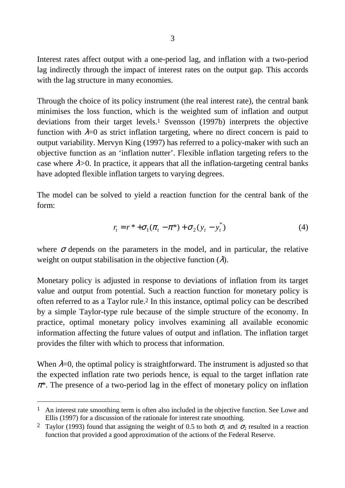Interest rates affect output with a one-period lag, and inflation with a two-period lag indirectly through the impact of interest rates on the output gap. This accords with the lag structure in many economies.

Through the choice of its policy instrument (the real interest rate), the central bank minimises the loss function, which is the weighted sum of inflation and output deviations from their target levels.1 Svensson (1997b) interprets the objective function with  $\lambda=0$  as strict inflation targeting, where no direct concern is paid to output variability. Mervyn King (1997) has referred to a policy-maker with such an objective function as an 'inflation nutter'. Flexible inflation targeting refers to the case where  $\lambda$ >0. In practice, it appears that all the inflation-targeting central banks have adopted flexible inflation targets to varying degrees.

The model can be solved to yield a reaction function for the central bank of the form:

$$
r_{t} = r^{*} + \sigma_{1}(\pi_{t} - \pi^{*}) + \sigma_{2}(y_{t} - y_{t}^{*})
$$
\n(4)

where  $\sigma$  depends on the parameters in the model, and in particular, the relative weight on output stabilisation in the objective function  $(\lambda)$ .

Monetary policy is adjusted in response to deviations of inflation from its target value and output from potential. Such a reaction function for monetary policy is often referred to as a Taylor rule.2 In this instance, optimal policy can be described by a simple Taylor-type rule because of the simple structure of the economy. In practice, optimal monetary policy involves examining all available economic information affecting the future values of output and inflation. The inflation target provides the filter with which to process that information.

When  $\lambda=0$ , the optimal policy is straightforward. The instrument is adjusted so that the expected inflation rate two periods hence, is equal to the target inflation rate <sup>π</sup>*\**. The presence of a two-period lag in the effect of monetary policy on inflation

l

 $1$  An interest rate smoothing term is often also included in the objective function. See Lowe and Ellis (1997) for a discussion of the rationale for interest rate smoothing.

<sup>&</sup>lt;sup>2</sup> Taylor (1993) found that assigning the weight of 0.5 to both  $\sigma_1$  and  $\sigma_2$  resulted in a reaction function that provided a good approximation of the actions of the Federal Reserve.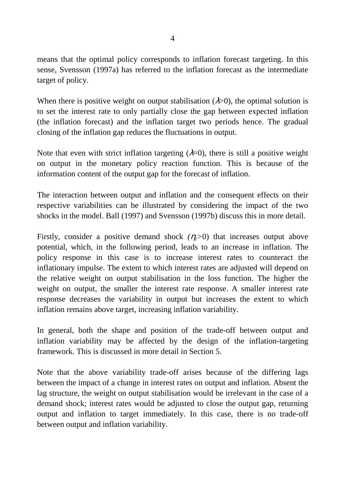means that the optimal policy corresponds to inflation forecast targeting. In this sense, Svensson (1997a) has referred to the inflation forecast as the intermediate target of policy.

When there is positive weight on output stabilisation  $(\lambda > 0)$ , the optimal solution is to set the interest rate to only partially close the gap between expected inflation (the inflation forecast) and the inflation target two periods hence. The gradual closing of the inflation gap reduces the fluctuations in output.

Note that even with strict inflation targeting  $(\lambda=0)$ , there is still a positive weight on output in the monetary policy reaction function. This is because of the information content of the output gap for the forecast of inflation.

The interaction between output and inflation and the consequent effects on their respective variabilities can be illustrated by considering the impact of the two shocks in the model. Ball (1997) and Svensson (1997b) discuss this in more detail.

Firstly, consider a positive demand shock  $(\eta_t>0)$  that increases output above potential, which, in the following period, leads to an increase in inflation. The policy response in this case is to increase interest rates to counteract the inflationary impulse. The extent to which interest rates are adjusted will depend on the relative weight on output stabilisation in the loss function. The higher the weight on output, the smaller the interest rate response. A smaller interest rate response decreases the variability in output but increases the extent to which inflation remains above target, increasing inflation variability.

In general, both the shape and position of the trade-off between output and inflation variability may be affected by the design of the inflation-targeting framework. This is discussed in more detail in Section 5.

Note that the above variability trade-off arises because of the differing lags between the impact of a change in interest rates on output and inflation. Absent the lag structure, the weight on output stabilisation would be irrelevant in the case of a demand shock; interest rates would be adjusted to close the output gap, returning output and inflation to target immediately. In this case, there is no trade-off between output and inflation variability.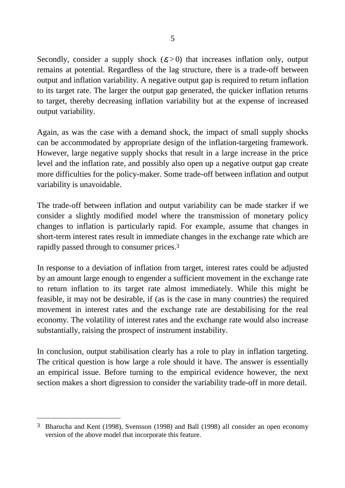Secondly, consider a supply shock  $(\varepsilon_t > 0)$  that increases inflation only, output remains at potential. Regardless of the lag structure, there is a trade-off between output and inflation variability. A negative output gap is required to return inflation to its target rate. The larger the output gap generated, the quicker inflation returns to target, thereby decreasing inflation variability but at the expense of increased output variability.

Again, as was the case with a demand shock, the impact of small supply shocks can be accommodated by appropriate design of the inflation-targeting framework. However, large negative supply shocks that result in a large increase in the price level and the inflation rate, and possibly also open up a negative output gap create more difficulties for the policy-maker. Some trade-off between inflation and output variability is unavoidable.

The trade-off between inflation and output variability can be made starker if we consider a slightly modified model where the transmission of monetary policy changes to inflation is particularly rapid. For example, assume that changes in short-term interest rates result in immediate changes in the exchange rate which are rapidly passed through to consumer prices.3

In response to a deviation of inflation from target, interest rates could be adjusted by an amount large enough to engender a sufficient movement in the exchange rate to return inflation to its target rate almost immediately. While this might be feasible, it may not be desirable, if (as is the case in many countries) the required movement in interest rates and the exchange rate are destabilising for the real economy. The volatility of interest rates and the exchange rate would also increase substantially, raising the prospect of instrument instability.

In conclusion, output stabilisation clearly has a role to play in inflation targeting. The critical question is how large a role should it have. The answer is essentially an empirical issue. Before turning to the empirical evidence however, the next section makes a short digression to consider the variability trade-off in more detail.

 $\overline{a}$ 

<sup>3</sup> Bharucha and Kent (1998), Svensson (1998) and Ball (1998) all consider an open economy version of the above model that incorporate this feature.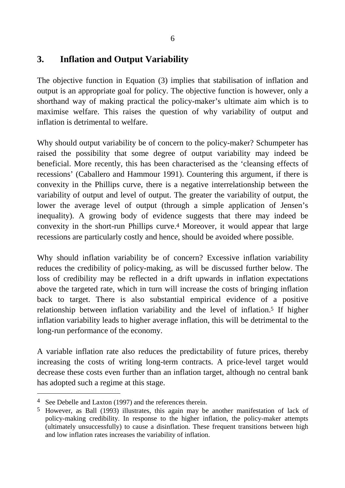## **3. Inflation and Output Variability**

The objective function in Equation (3) implies that stabilisation of inflation and output is an appropriate goal for policy. The objective function is however, only a shorthand way of making practical the policy-maker's ultimate aim which is to maximise welfare. This raises the question of why variability of output and inflation is detrimental to welfare.

Why should output variability be of concern to the policy-maker? Schumpeter has raised the possibility that some degree of output variability may indeed be beneficial. More recently, this has been characterised as the 'cleansing effects of recessions' (Caballero and Hammour 1991). Countering this argument, if there is convexity in the Phillips curve, there is a negative interrelationship between the variability of output and level of output. The greater the variability of output, the lower the average level of output (through a simple application of Jensen's inequality). A growing body of evidence suggests that there may indeed be convexity in the short-run Phillips curve.4 Moreover, it would appear that large recessions are particularly costly and hence, should be avoided where possible.

Why should inflation variability be of concern? Excessive inflation variability reduces the credibility of policy-making, as will be discussed further below. The loss of credibility may be reflected in a drift upwards in inflation expectations above the targeted rate, which in turn will increase the costs of bringing inflation back to target. There is also substantial empirical evidence of a positive relationship between inflation variability and the level of inflation.5 If higher inflation variability leads to higher average inflation, this will be detrimental to the long-run performance of the economy.

A variable inflation rate also reduces the predictability of future prices, thereby increasing the costs of writing long-term contracts. A price-level target would decrease these costs even further than an inflation target, although no central bank has adopted such a regime at this stage.

l

<sup>4</sup> See Debelle and Laxton (1997) and the references therein.

<sup>5</sup> However, as Ball (1993) illustrates, this again may be another manifestation of lack of policy-making credibility. In response to the higher inflation, the policy-maker attempts (ultimately unsuccessfully) to cause a disinflation. These frequent transitions between high and low inflation rates increases the variability of inflation.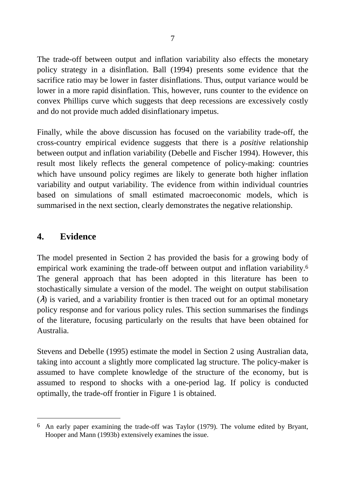The trade-off between output and inflation variability also effects the monetary policy strategy in a disinflation. Ball (1994) presents some evidence that the sacrifice ratio may be lower in faster disinflations. Thus, output variance would be lower in a more rapid disinflation. This, however, runs counter to the evidence on convex Phillips curve which suggests that deep recessions are excessively costly and do not provide much added disinflationary impetus.

Finally, while the above discussion has focused on the variability trade-off, the cross-country empirical evidence suggests that there is a *positive* relationship between output and inflation variability (Debelle and Fischer 1994). However, this result most likely reflects the general competence of policy-making: countries which have unsound policy regimes are likely to generate both higher inflation variability and output variability. The evidence from within individual countries based on simulations of small estimated macroeconomic models, which is summarised in the next section, clearly demonstrates the negative relationship.

#### **4. Evidence**

 $\overline{a}$ 

The model presented in Section 2 has provided the basis for a growing body of empirical work examining the trade-off between output and inflation variability.6 The general approach that has been adopted in this literature has been to stochastically simulate a version of the model. The weight on output stabilisation  $(\lambda)$  is varied, and a variability frontier is then traced out for an optimal monetary policy response and for various policy rules. This section summarises the findings of the literature, focusing particularly on the results that have been obtained for Australia.

Stevens and Debelle (1995) estimate the model in Section 2 using Australian data, taking into account a slightly more complicated lag structure. The policy-maker is assumed to have complete knowledge of the structure of the economy, but is assumed to respond to shocks with a one-period lag. If policy is conducted optimally, the trade-off frontier in Figure 1 is obtained.

<sup>6</sup> An early paper examining the trade-off was Taylor (1979). The volume edited by Bryant, Hooper and Mann (1993b) extensively examines the issue.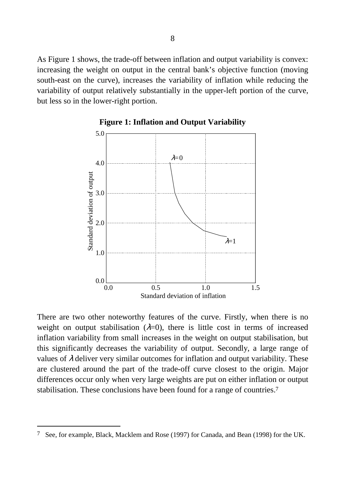As Figure 1 shows, the trade-off between inflation and output variability is convex: increasing the weight on output in the central bank's objective function (moving south-east on the curve), increases the variability of inflation while reducing the variability of output relatively substantially in the upper-left portion of the curve, but less so in the lower-right portion.



**Figure 1: Inflation and Output Variability**

There are two other noteworthy features of the curve. Firstly, when there is no weight on output stabilisation  $(\lambda=0)$ , there is little cost in terms of increased inflation variability from small increases in the weight on output stabilisation, but this significantly decreases the variability of output. Secondly, a large range of values of  $\lambda$  deliver very similar outcomes for inflation and output variability. These are clustered around the part of the trade-off curve closest to the origin. Major differences occur only when very large weights are put on either inflation or output stabilisation. These conclusions have been found for a range of countries.7

 $\overline{a}$ 

<sup>7</sup> See, for example, Black, Macklem and Rose (1997) for Canada, and Bean (1998) for the UK.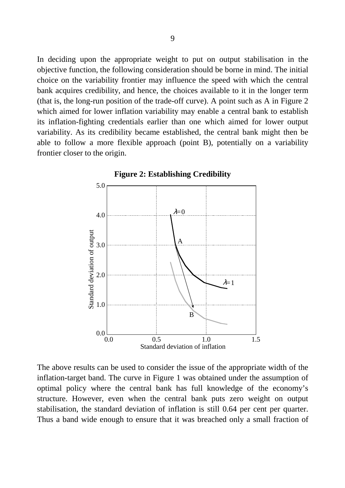In deciding upon the appropriate weight to put on output stabilisation in the objective function, the following consideration should be borne in mind. The initial choice on the variability frontier may influence the speed with which the central bank acquires credibility, and hence, the choices available to it in the longer term (that is, the long-run position of the trade-off curve). A point such as A in Figure 2 which aimed for lower inflation variability may enable a central bank to establish its inflation-fighting credentials earlier than one which aimed for lower output variability. As its credibility became established, the central bank might then be able to follow a more flexible approach (point B), potentially on a variability frontier closer to the origin.





The above results can be used to consider the issue of the appropriate width of the inflation-target band. The curve in Figure 1 was obtained under the assumption of optimal policy where the central bank has full knowledge of the economy's structure. However, even when the central bank puts zero weight on output stabilisation, the standard deviation of inflation is still 0.64 per cent per quarter. Thus a band wide enough to ensure that it was breached only a small fraction of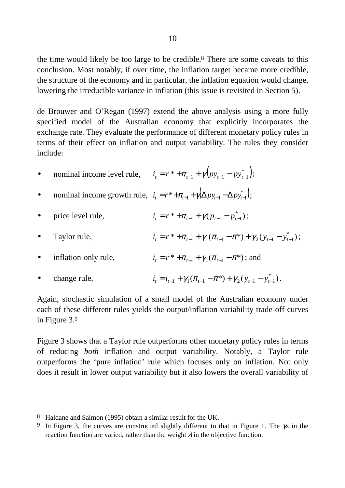the time would likely be too large to be credible.8 There are some caveats to this conclusion. Most notably, if over time, the inflation target became more credible, the structure of the economy and in particular, the inflation equation would change, lowering the irreducible variance in inflation (this issue is revisited in Section 5).

de Brouwer and O'Regan (1997) extend the above analysis using a more fully specified model of the Australian economy that explicitly incorporates the exchange rate. They evaluate the performance of different monetary policy rules in terms of their effect on inflation and output variability. The rules they consider include:

- nominal income level rule,  $i_t = r^* + \pi_{t-1} + \gamma (p y_{t-1} p y_{t-1}^*)$ ;
- nominal income growth rule,  $i_t = r^* + \pi_{t-1} + \gamma(\Delta p y_{t-1} \Delta p y_{t-1}^*)$ ;
- price level rule,  $i_t = r^* + \pi_{t-1} + \gamma (p_{t-1} p_{t-1}^*)$ ;
- Taylor rule,  $i_t = r^* + \pi_{t-1} + \gamma_1 (\pi_{t-1} \pi^*) + \gamma_2 (y_{t-1} y_{t-1}^*)$ ;
- inflation-only rule,  $i_t = r^* + \pi_{t-1} + \gamma_1 (\pi_{t-1} \pi^*)$ ; and
- change rule,  $i_t = i_{t-1} + \gamma_1 (\pi_{t-1} \pi^*) + \gamma_2 (y_{t-1} y_{t-1}^*)$ .

Again, stochastic simulation of a small model of the Australian economy under each of these different rules yields the output/inflation variability trade-off curves in Figure 3.9

Figure 3 shows that a Taylor rule outperforms other monetary policy rules in terms of reducing *both* inflation and output variability. Notably, a Taylor rule outperforms the 'pure inflation' rule which focuses only on inflation. Not only does it result in lower output variability but it also lowers the overall variability of

l

<sup>8</sup> Haldane and Salmon (1995) obtain a similar result for the UK.

<sup>&</sup>lt;sup>9</sup> In Figure 3, the curves are constructed slightly different to that in Figure 1. The  $\gamma$ s in the reaction function are varied, rather than the weight  $\lambda$  in the objective function.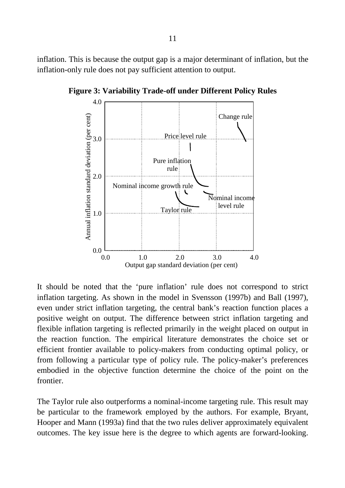inflation. This is because the output gap is a major determinant of inflation, but the inflation-only rule does not pay sufficient attention to output.



**Figure 3: Variability Trade-off under Different Policy Rules**

It should be noted that the 'pure inflation' rule does not correspond to strict inflation targeting. As shown in the model in Svensson (1997b) and Ball (1997), even under strict inflation targeting, the central bank's reaction function places a positive weight on output. The difference between strict inflation targeting and flexible inflation targeting is reflected primarily in the weight placed on output in the reaction function. The empirical literature demonstrates the choice set or efficient frontier available to policy-makers from conducting optimal policy, or from following a particular type of policy rule. The policy-maker's preferences embodied in the objective function determine the choice of the point on the frontier.

The Taylor rule also outperforms a nominal-income targeting rule. This result may be particular to the framework employed by the authors. For example, Bryant, Hooper and Mann (1993a) find that the two rules deliver approximately equivalent outcomes. The key issue here is the degree to which agents are forward-looking.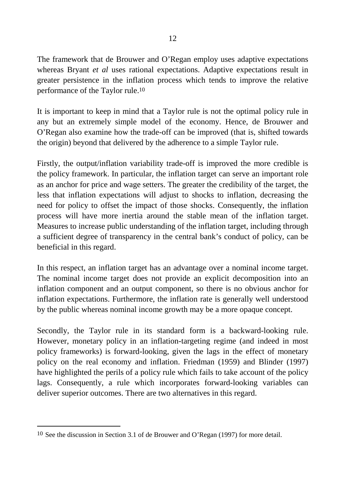The framework that de Brouwer and O'Regan employ uses adaptive expectations whereas Bryant *et al* uses rational expectations. Adaptive expectations result in greater persistence in the inflation process which tends to improve the relative performance of the Taylor rule.10

It is important to keep in mind that a Taylor rule is not the optimal policy rule in any but an extremely simple model of the economy. Hence, de Brouwer and O'Regan also examine how the trade-off can be improved (that is, shifted towards the origin) beyond that delivered by the adherence to a simple Taylor rule.

Firstly, the output/inflation variability trade-off is improved the more credible is the policy framework. In particular, the inflation target can serve an important role as an anchor for price and wage setters. The greater the credibility of the target, the less that inflation expectations will adjust to shocks to inflation, decreasing the need for policy to offset the impact of those shocks. Consequently, the inflation process will have more inertia around the stable mean of the inflation target. Measures to increase public understanding of the inflation target, including through a sufficient degree of transparency in the central bank's conduct of policy, can be beneficial in this regard.

In this respect, an inflation target has an advantage over a nominal income target. The nominal income target does not provide an explicit decomposition into an inflation component and an output component, so there is no obvious anchor for inflation expectations. Furthermore, the inflation rate is generally well understood by the public whereas nominal income growth may be a more opaque concept.

Secondly, the Taylor rule in its standard form is a backward-looking rule. However, monetary policy in an inflation-targeting regime (and indeed in most policy frameworks) is forward-looking, given the lags in the effect of monetary policy on the real economy and inflation. Friedman (1959) and Blinder (1997) have highlighted the perils of a policy rule which fails to take account of the policy lags. Consequently, a rule which incorporates forward-looking variables can deliver superior outcomes. There are two alternatives in this regard.

 $\overline{a}$ 

<sup>10</sup> See the discussion in Section 3.1 of de Brouwer and O'Regan (1997) for more detail.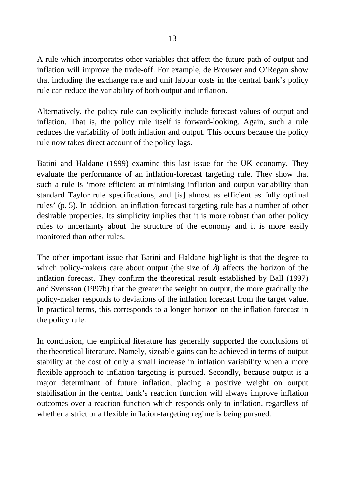A rule which incorporates other variables that affect the future path of output and inflation will improve the trade-off. For example, de Brouwer and O'Regan show that including the exchange rate and unit labour costs in the central bank's policy rule can reduce the variability of both output and inflation.

Alternatively, the policy rule can explicitly include forecast values of output and inflation. That is, the policy rule itself is forward-looking. Again, such a rule reduces the variability of both inflation and output. This occurs because the policy rule now takes direct account of the policy lags.

Batini and Haldane (1999) examine this last issue for the UK economy. They evaluate the performance of an inflation-forecast targeting rule. They show that such a rule is 'more efficient at minimising inflation and output variability than standard Taylor rule specifications, and [is] almost as efficient as fully optimal rules' (p. 5). In addition, an inflation-forecast targeting rule has a number of other desirable properties. Its simplicity implies that it is more robust than other policy rules to uncertainty about the structure of the economy and it is more easily monitored than other rules.

The other important issue that Batini and Haldane highlight is that the degree to which policy-makers care about output (the size of  $\lambda$ ) affects the horizon of the inflation forecast. They confirm the theoretical result established by Ball (1997) and Svensson (1997b) that the greater the weight on output, the more gradually the policy-maker responds to deviations of the inflation forecast from the target value. In practical terms, this corresponds to a longer horizon on the inflation forecast in the policy rule.

In conclusion, the empirical literature has generally supported the conclusions of the theoretical literature. Namely, sizeable gains can be achieved in terms of output stability at the cost of only a small increase in inflation variability when a more flexible approach to inflation targeting is pursued. Secondly, because output is a major determinant of future inflation, placing a positive weight on output stabilisation in the central bank's reaction function will always improve inflation outcomes over a reaction function which responds only to inflation, regardless of whether a strict or a flexible inflation-targeting regime is being pursued.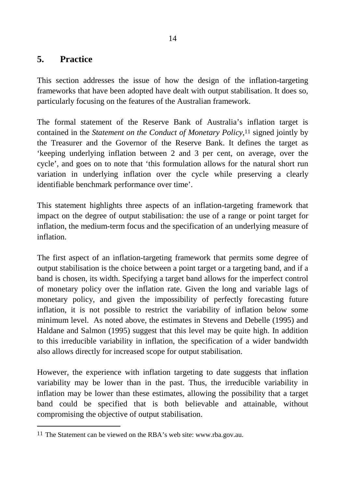## **5. Practice**

 $\overline{a}$ 

This section addresses the issue of how the design of the inflation-targeting frameworks that have been adopted have dealt with output stabilisation. It does so, particularly focusing on the features of the Australian framework.

The formal statement of the Reserve Bank of Australia's inflation target is contained in the *Statement on the Conduct of Monetary Policy*,11 signed jointly by the Treasurer and the Governor of the Reserve Bank. It defines the target as 'keeping underlying inflation between 2 and 3 per cent, on average, over the cycle', and goes on to note that 'this formulation allows for the natural short run variation in underlying inflation over the cycle while preserving a clearly identifiable benchmark performance over time'.

This statement highlights three aspects of an inflation-targeting framework that impact on the degree of output stabilisation: the use of a range or point target for inflation, the medium-term focus and the specification of an underlying measure of inflation.

The first aspect of an inflation-targeting framework that permits some degree of output stabilisation is the choice between a point target or a targeting band, and if a band is chosen, its width. Specifying a target band allows for the imperfect control of monetary policy over the inflation rate. Given the long and variable lags of monetary policy, and given the impossibility of perfectly forecasting future inflation, it is not possible to restrict the variability of inflation below some minimum level. As noted above, the estimates in Stevens and Debelle (1995) and Haldane and Salmon (1995) suggest that this level may be quite high. In addition to this irreducible variability in inflation, the specification of a wider bandwidth also allows directly for increased scope for output stabilisation.

However, the experience with inflation targeting to date suggests that inflation variability may be lower than in the past. Thus, the irreducible variability in inflation may be lower than these estimates, allowing the possibility that a target band could be specified that is both believable and attainable, without compromising the objective of output stabilisation.

<sup>11</sup> The Statement can be viewed on the RBA's web site: www.rba.gov.au.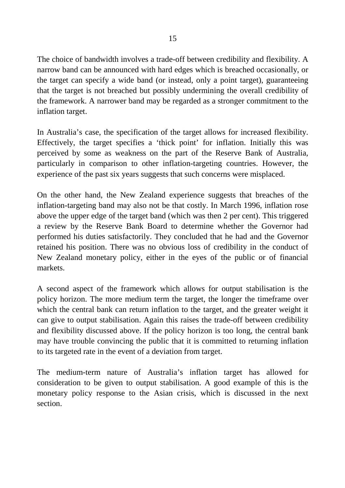The choice of bandwidth involves a trade-off between credibility and flexibility. A narrow band can be announced with hard edges which is breached occasionally, or the target can specify a wide band (or instead, only a point target), guaranteeing that the target is not breached but possibly undermining the overall credibility of the framework. A narrower band may be regarded as a stronger commitment to the inflation target.

In Australia's case, the specification of the target allows for increased flexibility. Effectively, the target specifies a 'thick point' for inflation. Initially this was perceived by some as weakness on the part of the Reserve Bank of Australia, particularly in comparison to other inflation-targeting countries. However, the experience of the past six years suggests that such concerns were misplaced.

On the other hand, the New Zealand experience suggests that breaches of the inflation-targeting band may also not be that costly. In March 1996, inflation rose above the upper edge of the target band (which was then 2 per cent). This triggered a review by the Reserve Bank Board to determine whether the Governor had performed his duties satisfactorily. They concluded that he had and the Governor retained his position. There was no obvious loss of credibility in the conduct of New Zealand monetary policy, either in the eyes of the public or of financial markets.

A second aspect of the framework which allows for output stabilisation is the policy horizon. The more medium term the target, the longer the timeframe over which the central bank can return inflation to the target, and the greater weight it can give to output stabilisation. Again this raises the trade-off between credibility and flexibility discussed above. If the policy horizon is too long, the central bank may have trouble convincing the public that it is committed to returning inflation to its targeted rate in the event of a deviation from target.

The medium-term nature of Australia's inflation target has allowed for consideration to be given to output stabilisation. A good example of this is the monetary policy response to the Asian crisis, which is discussed in the next section.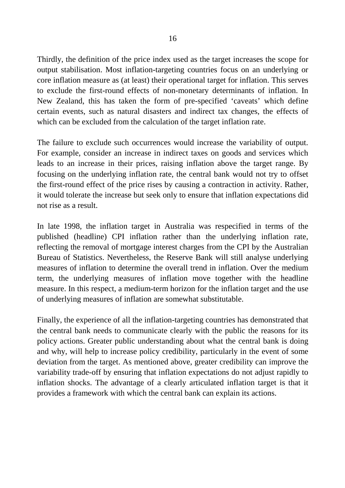Thirdly, the definition of the price index used as the target increases the scope for output stabilisation. Most inflation-targeting countries focus on an underlying or core inflation measure as (at least) their operational target for inflation. This serves to exclude the first-round effects of non-monetary determinants of inflation. In New Zealand, this has taken the form of pre-specified 'caveats' which define certain events, such as natural disasters and indirect tax changes, the effects of which can be excluded from the calculation of the target inflation rate.

The failure to exclude such occurrences would increase the variability of output. For example, consider an increase in indirect taxes on goods and services which leads to an increase in their prices, raising inflation above the target range. By focusing on the underlying inflation rate, the central bank would not try to offset the first-round effect of the price rises by causing a contraction in activity. Rather, it would tolerate the increase but seek only to ensure that inflation expectations did not rise as a result.

In late 1998, the inflation target in Australia was respecified in terms of the published (headline) CPI inflation rather than the underlying inflation rate, reflecting the removal of mortgage interest charges from the CPI by the Australian Bureau of Statistics. Nevertheless, the Reserve Bank will still analyse underlying measures of inflation to determine the overall trend in inflation. Over the medium term, the underlying measures of inflation move together with the headline measure. In this respect, a medium-term horizon for the inflation target and the use of underlying measures of inflation are somewhat substitutable.

Finally, the experience of all the inflation-targeting countries has demonstrated that the central bank needs to communicate clearly with the public the reasons for its policy actions. Greater public understanding about what the central bank is doing and why, will help to increase policy credibility, particularly in the event of some deviation from the target. As mentioned above, greater credibility can improve the variability trade-off by ensuring that inflation expectations do not adjust rapidly to inflation shocks. The advantage of a clearly articulated inflation target is that it provides a framework with which the central bank can explain its actions.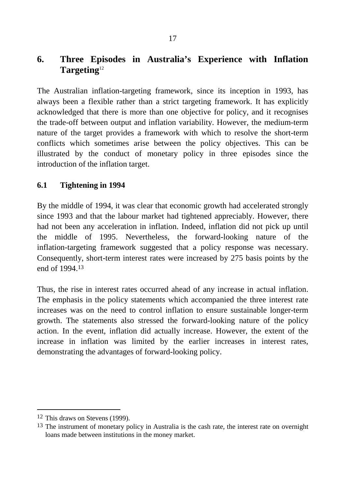# **6. Three Episodes in Australia's Experience with Inflation Targeting**<sup>12</sup>

The Australian inflation-targeting framework, since its inception in 1993, has always been a flexible rather than a strict targeting framework. It has explicitly acknowledged that there is more than one objective for policy, and it recognises the trade-off between output and inflation variability. However, the medium-term nature of the target provides a framework with which to resolve the short-term conflicts which sometimes arise between the policy objectives. This can be illustrated by the conduct of monetary policy in three episodes since the introduction of the inflation target.

#### **6.1 Tightening in 1994**

By the middle of 1994, it was clear that economic growth had accelerated strongly since 1993 and that the labour market had tightened appreciably. However, there had not been any acceleration in inflation. Indeed, inflation did not pick up until the middle of 1995. Nevertheless, the forward-looking nature of the inflation-targeting framework suggested that a policy response was necessary. Consequently, short-term interest rates were increased by 275 basis points by the end of 1994.13

Thus, the rise in interest rates occurred ahead of any increase in actual inflation. The emphasis in the policy statements which accompanied the three interest rate increases was on the need to control inflation to ensure sustainable longer-term growth. The statements also stressed the forward-looking nature of the policy action. In the event, inflation did actually increase. However, the extent of the increase in inflation was limited by the earlier increases in interest rates, demonstrating the advantages of forward-looking policy.

 $\overline{a}$ 

<sup>12</sup> This draws on Stevens (1999).

<sup>&</sup>lt;sup>13</sup> The instrument of monetary policy in Australia is the cash rate, the interest rate on overnight loans made between institutions in the money market.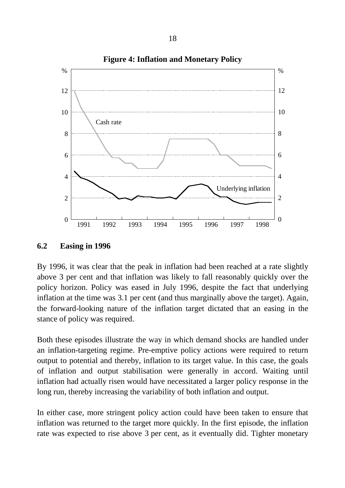

**Figure 4: Inflation and Monetary Policy**

**6.2 Easing in 1996**

By 1996, it was clear that the peak in inflation had been reached at a rate slightly above 3 per cent and that inflation was likely to fall reasonably quickly over the policy horizon. Policy was eased in July 1996, despite the fact that underlying inflation at the time was 3.1 per cent (and thus marginally above the target). Again, the forward-looking nature of the inflation target dictated that an easing in the stance of policy was required.

Both these episodes illustrate the way in which demand shocks are handled under an inflation-targeting regime. Pre-emptive policy actions were required to return output to potential and thereby, inflation to its target value. In this case, the goals of inflation and output stabilisation were generally in accord. Waiting until inflation had actually risen would have necessitated a larger policy response in the long run, thereby increasing the variability of both inflation and output.

In either case, more stringent policy action could have been taken to ensure that inflation was returned to the target more quickly. In the first episode, the inflation rate was expected to rise above 3 per cent, as it eventually did. Tighter monetary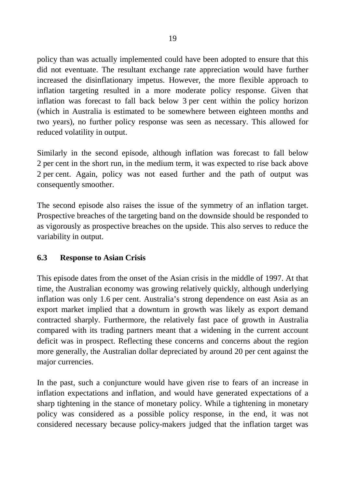policy than was actually implemented could have been adopted to ensure that this did not eventuate. The resultant exchange rate appreciation would have further increased the disinflationary impetus. However, the more flexible approach to inflation targeting resulted in a more moderate policy response. Given that inflation was forecast to fall back below 3 per cent within the policy horizon (which in Australia is estimated to be somewhere between eighteen months and two years), no further policy response was seen as necessary. This allowed for reduced volatility in output.

Similarly in the second episode, although inflation was forecast to fall below 2 per cent in the short run, in the medium term, it was expected to rise back above 2 per cent. Again, policy was not eased further and the path of output was consequently smoother.

The second episode also raises the issue of the symmetry of an inflation target. Prospective breaches of the targeting band on the downside should be responded to as vigorously as prospective breaches on the upside. This also serves to reduce the variability in output.

## **6.3 Response to Asian Crisis**

This episode dates from the onset of the Asian crisis in the middle of 1997. At that time, the Australian economy was growing relatively quickly, although underlying inflation was only 1.6 per cent. Australia's strong dependence on east Asia as an export market implied that a downturn in growth was likely as export demand contracted sharply. Furthermore, the relatively fast pace of growth in Australia compared with its trading partners meant that a widening in the current account deficit was in prospect. Reflecting these concerns and concerns about the region more generally, the Australian dollar depreciated by around 20 per cent against the major currencies.

In the past, such a conjuncture would have given rise to fears of an increase in inflation expectations and inflation, and would have generated expectations of a sharp tightening in the stance of monetary policy. While a tightening in monetary policy was considered as a possible policy response, in the end, it was not considered necessary because policy-makers judged that the inflation target was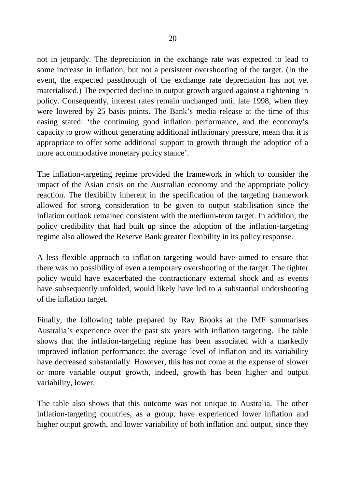not in jeopardy. The depreciation in the exchange rate was expected to lead to some increase in inflation, but not a persistent overshooting of the target. (In the event, the expected passthrough of the exchange rate depreciation has not yet materialised.) The expected decline in output growth argued against a tightening in policy. Consequently, interest rates remain unchanged until late 1998, when they were lowered by 25 basis points. The Bank's media release at the time of this easing stated: 'the continuing good inflation performance, and the economy's capacity to grow without generating additional inflationary pressure, mean that it is appropriate to offer some additional support to growth through the adoption of a more accommodative monetary policy stance'.

The inflation-targeting regime provided the framework in which to consider the impact of the Asian crisis on the Australian economy and the appropriate policy reaction. The flexibility inherent in the specification of the targeting framework allowed for strong consideration to be given to output stabilisation since the inflation outlook remained consistent with the medium-term target. In addition, the policy credibility that had built up since the adoption of the inflation-targeting regime also allowed the Reserve Bank greater flexibility in its policy response.

A less flexible approach to inflation targeting would have aimed to ensure that there was no possibility of even a temporary overshooting of the target. The tighter policy would have exacerbated the contractionary external shock and as events have subsequently unfolded, would likely have led to a substantial undershooting of the inflation target.

Finally, the following table prepared by Ray Brooks at the IMF summarises Australia's experience over the past six years with inflation targeting. The table shows that the inflation-targeting regime has been associated with a markedly improved inflation performance: the average level of inflation and its variability have decreased substantially. However, this has not come at the expense of slower or more variable output growth, indeed, growth has been higher and output variability, lower.

The table also shows that this outcome was not unique to Australia. The other inflation-targeting countries, as a group, have experienced lower inflation and higher output growth, and lower variability of both inflation and output, since they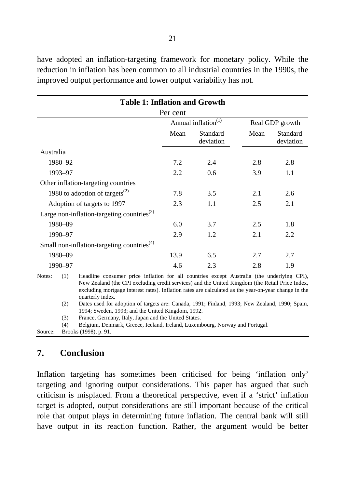have adopted an inflation-targeting framework for monetary policy. While the reduction in inflation has been common to all industrial countries in the 1990s, the improved output performance and lower output variability has not.

| <b>Table 1: Inflation and Growth</b>                                                                                                                                                                                                                                                                                  |                                 |                       |                 |                       |  |  |  |
|-----------------------------------------------------------------------------------------------------------------------------------------------------------------------------------------------------------------------------------------------------------------------------------------------------------------------|---------------------------------|-----------------------|-----------------|-----------------------|--|--|--|
| Per cent                                                                                                                                                                                                                                                                                                              |                                 |                       |                 |                       |  |  |  |
|                                                                                                                                                                                                                                                                                                                       | Annual inflation <sup>(1)</sup> |                       | Real GDP growth |                       |  |  |  |
|                                                                                                                                                                                                                                                                                                                       | Mean                            | Standard<br>deviation | Mean            | Standard<br>deviation |  |  |  |
| Australia                                                                                                                                                                                                                                                                                                             |                                 |                       |                 |                       |  |  |  |
| 1980-92                                                                                                                                                                                                                                                                                                               | 7.2                             | 2.4                   | 2.8             | 2.8                   |  |  |  |
| 1993-97                                                                                                                                                                                                                                                                                                               | 2.2                             | 0.6                   | 3.9             | 1.1                   |  |  |  |
| Other inflation-targeting countries                                                                                                                                                                                                                                                                                   |                                 |                       |                 |                       |  |  |  |
| 1980 to adoption of targets <sup>(2)</sup>                                                                                                                                                                                                                                                                            | 7.8                             | 3.5                   | 2.1             | 2.6                   |  |  |  |
| Adoption of targets to 1997                                                                                                                                                                                                                                                                                           | 2.3                             | 1.1                   | 2.5             | 2.1                   |  |  |  |
| Large non-inflation-targeting countries $^{(3)}$                                                                                                                                                                                                                                                                      |                                 |                       |                 |                       |  |  |  |
| 1980-89                                                                                                                                                                                                                                                                                                               | 6.0                             | 3.7                   | 2.5             | 1.8                   |  |  |  |
| 1990-97                                                                                                                                                                                                                                                                                                               | 2.9                             | 1.2                   | 2.1             | 2.2                   |  |  |  |
| Small non-inflation-targeting countries <sup><math>(4)</math></sup>                                                                                                                                                                                                                                                   |                                 |                       |                 |                       |  |  |  |
| 1980-89                                                                                                                                                                                                                                                                                                               | 13.9                            | 6.5                   | 2.7             | 2.7                   |  |  |  |
| 1990-97                                                                                                                                                                                                                                                                                                               | 4.6                             | 2.3                   | 2.8             | 1.9                   |  |  |  |
| Notes:<br>(1)<br>Headline consumer price inflation for all countries except Australia (the underlying CPI),<br>New Zealand (the CPI excluding credit services) and the United Kingdom (the Retail Price Index,<br>excluding mortgage interest rates) Inflation rates are calculated as the year-on-year change in the |                                 |                       |                 |                       |  |  |  |

excluding mortgage interest rates). Inflation rates are calculated as the year-on-year change in the quarterly index. (2) Dates used for adoption of targets are: Canada, 1991; Finland, 1993; New Zealand, 1990; Spain,

1994; Sweden, 1993; and the United Kingdom, 1992.

(3) France, Germany, Italy, Japan and the United States.

```
(4) Belgium, Denmark, Greece, Iceland, Ireland, Luxembourg, Norway and Portugal.
```
Source: Brooks (1998), p. 91.

## **7. Conclusion**

Inflation targeting has sometimes been criticised for being 'inflation only' targeting and ignoring output considerations. This paper has argued that such criticism is misplaced. From a theoretical perspective, even if a 'strict' inflation target is adopted, output considerations are still important because of the critical role that output plays in determining future inflation. The central bank will still have output in its reaction function. Rather, the argument would be better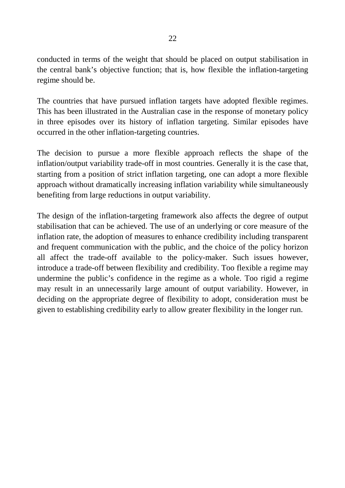conducted in terms of the weight that should be placed on output stabilisation in the central bank's objective function; that is, how flexible the inflation-targeting regime should be.

The countries that have pursued inflation targets have adopted flexible regimes. This has been illustrated in the Australian case in the response of monetary policy in three episodes over its history of inflation targeting. Similar episodes have occurred in the other inflation-targeting countries.

The decision to pursue a more flexible approach reflects the shape of the inflation/output variability trade-off in most countries. Generally it is the case that, starting from a position of strict inflation targeting, one can adopt a more flexible approach without dramatically increasing inflation variability while simultaneously benefiting from large reductions in output variability.

The design of the inflation-targeting framework also affects the degree of output stabilisation that can be achieved. The use of an underlying or core measure of the inflation rate, the adoption of measures to enhance credibility including transparent and frequent communication with the public, and the choice of the policy horizon all affect the trade-off available to the policy-maker. Such issues however, introduce a trade-off between flexibility and credibility. Too flexible a regime may undermine the public's confidence in the regime as a whole. Too rigid a regime may result in an unnecessarily large amount of output variability. However, in deciding on the appropriate degree of flexibility to adopt, consideration must be given to establishing credibility early to allow greater flexibility in the longer run.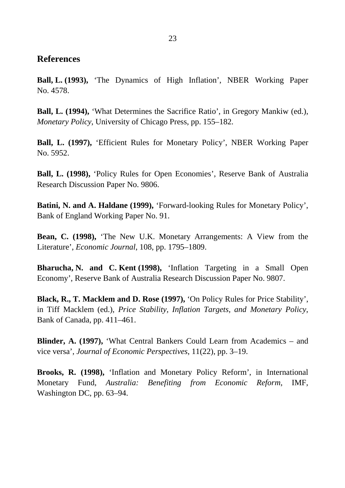#### **References**

**Ball, L. (1993),** 'The Dynamics of High Inflation', NBER Working Paper No. 4578.

**Ball, L. (1994),** 'What Determines the Sacrifice Ratio', in Gregory Mankiw (ed.), *Monetary Policy*, University of Chicago Press, pp. 155–182.

**Ball, L. (1997),** 'Efficient Rules for Monetary Policy', NBER Working Paper No. 5952.

**Ball, L. (1998),** 'Policy Rules for Open Economies', Reserve Bank of Australia Research Discussion Paper No. 9806.

**Batini, N. and A. Haldane (1999),** 'Forward-looking Rules for Monetary Policy', Bank of England Working Paper No. 91.

**Bean, C. (1998),** 'The New U.K. Monetary Arrangements: A View from the Literature', *Economic Journal*, 108, pp. 1795–1809.

**Bharucha, N. and C. Kent (1998),** 'Inflation Targeting in a Small Open Economy', Reserve Bank of Australia Research Discussion Paper No. 9807.

**Black, R., T. Macklem and D. Rose (1997),** 'On Policy Rules for Price Stability', in Tiff Macklem (ed.), *Price Stability, Inflation Targets, and Monetary Policy*, Bank of Canada, pp. 411–461.

**Blinder, A. (1997),** 'What Central Bankers Could Learn from Academics – and vice versa', *Journal of Economic Perspectives*, 11(22), pp. 3–19.

**Brooks, R. (1998),** 'Inflation and Monetary Policy Reform', in International Monetary Fund, *Australia: Benefiting from Economic Reform*, IMF, Washington DC, pp. 63–94.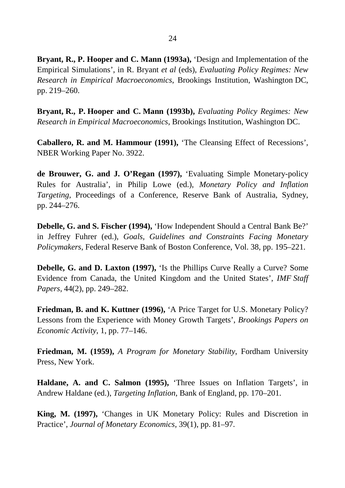**Bryant, R., P. Hooper and C. Mann (1993a),** 'Design and Implementation of the Empirical Simulations', in R. Bryant *et al* (eds), *Evaluating Policy Regimes: New Research in Empirical Macroeconomics*, Brookings Institution, Washington DC, pp. 219–260.

**Bryant, R., P. Hooper and C. Mann (1993b),** *Evaluating Policy Regimes: New Research in Empirical Macroeconomics*, Brookings Institution, Washington DC.

**Caballero, R. and M. Hammour (1991),** 'The Cleansing Effect of Recessions', NBER Working Paper No. 3922.

**de Brouwer, G. and J. O'Regan (1997),** 'Evaluating Simple Monetary-policy Rules for Australia', in Philip Lowe (ed.), *Monetary Policy and Inflation Targeting*, Proceedings of a Conference, Reserve Bank of Australia, Sydney, pp. 244–276.

**Debelle, G. and S. Fischer (1994),** 'How Independent Should a Central Bank Be?' in Jeffrey Fuhrer (ed.), *Goals, Guidelines and Constraints Facing Monetary Policymakers*, Federal Reserve Bank of Boston Conference, Vol. 38, pp. 195–221.

**Debelle, G. and D. Laxton (1997),** 'Is the Phillips Curve Really a Curve? Some Evidence from Canada, the United Kingdom and the United States', *IMF Staff Papers*, 44(2), pp. 249–282.

**Friedman, B. and K. Kuttner (1996),** 'A Price Target for U.S. Monetary Policy? Lessons from the Experience with Money Growth Targets', *Brookings Papers on Economic Activity*, 1, pp. 77–146.

**Friedman, M. (1959),** *A Program for Monetary Stability*, Fordham University Press, New York.

**Haldane, A. and C. Salmon (1995),** 'Three Issues on Inflation Targets', in Andrew Haldane (ed.), *Targeting Inflation*, Bank of England, pp. 170–201.

**King, M. (1997),** 'Changes in UK Monetary Policy: Rules and Discretion in Practice', *Journal of Monetary Economics*, 39(1), pp. 81–97.